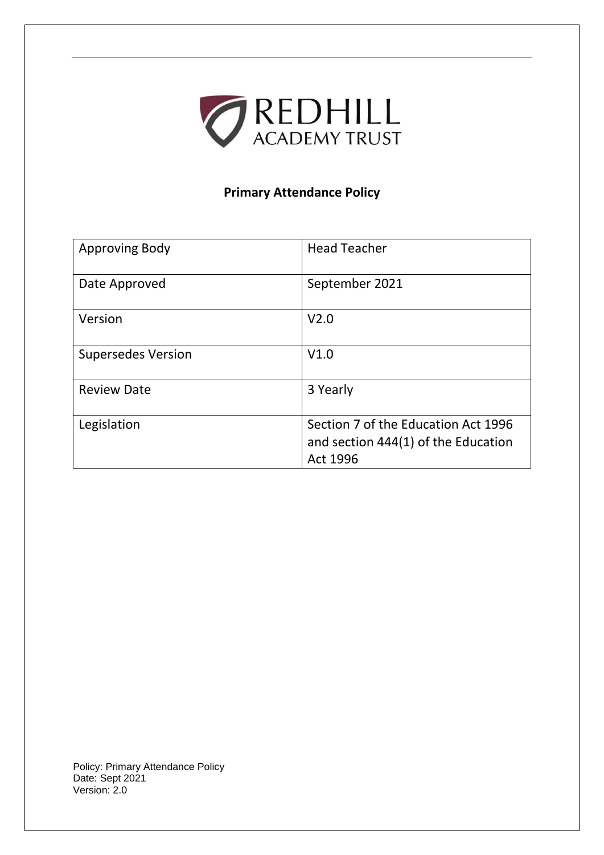

# **Primary Attendance Policy**

| <b>Approving Body</b>     | <b>Head Teacher</b>                                                                    |
|---------------------------|----------------------------------------------------------------------------------------|
| Date Approved             | September 2021                                                                         |
| Version                   | V <sub>2.0</sub>                                                                       |
| <b>Supersedes Version</b> | V1.0                                                                                   |
| <b>Review Date</b>        | 3 Yearly                                                                               |
| Legislation               | Section 7 of the Education Act 1996<br>and section 444(1) of the Education<br>Act 1996 |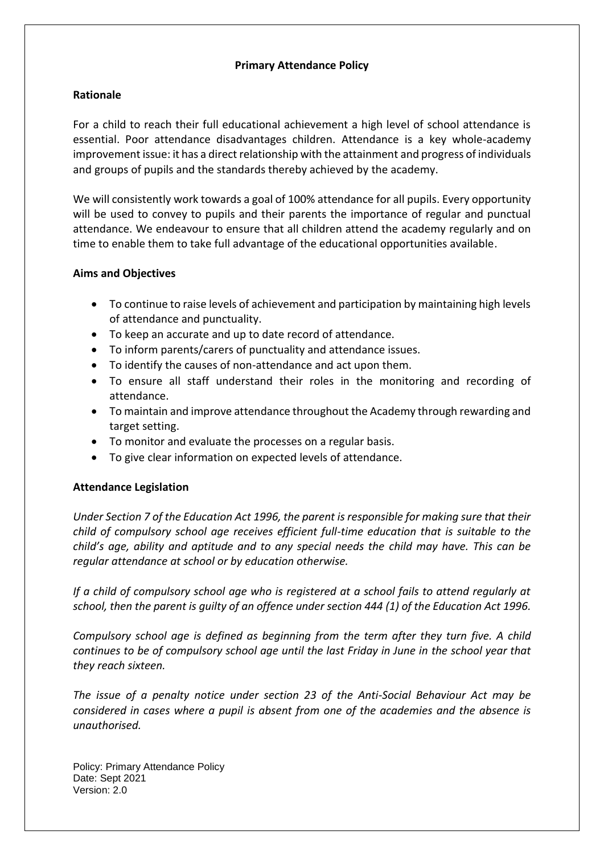## **Primary Attendance Policy**

## **Rationale**

For a child to reach their full educational achievement a high level of school attendance is essential. Poor attendance disadvantages children. Attendance is a key whole-academy improvement issue: it has a direct relationship with the attainment and progress of individuals and groups of pupils and the standards thereby achieved by the academy.

We will consistently work towards a goal of 100% attendance for all pupils. Every opportunity will be used to convey to pupils and their parents the importance of regular and punctual attendance. We endeavour to ensure that all children attend the academy regularly and on time to enable them to take full advantage of the educational opportunities available.

## **Aims and Objectives**

- To continue to raise levels of achievement and participation by maintaining high levels of attendance and punctuality.
- To keep an accurate and up to date record of attendance.
- To inform parents/carers of punctuality and attendance issues.
- To identify the causes of non-attendance and act upon them.
- To ensure all staff understand their roles in the monitoring and recording of attendance.
- To maintain and improve attendance throughout the Academy through rewarding and target setting.
- To monitor and evaluate the processes on a regular basis.
- To give clear information on expected levels of attendance.

# **Attendance Legislation**

*Under Section 7 of the Education Act 1996, the parent is responsible for making sure that their child of compulsory school age receives efficient full-time education that is suitable to the child's age, ability and aptitude and to any special needs the child may have. This can be regular attendance at school or by education otherwise.*

*If a child of compulsory school age who is registered at a school fails to attend regularly at school, then the parent is guilty of an offence under section 444 (1) of the Education Act 1996.* 

*Compulsory school age is defined as beginning from the term after they turn five. A child continues to be of compulsory school age until the last Friday in June in the school year that they reach sixteen.*

*The issue of a penalty notice under section 23 of the Anti-Social Behaviour Act may be considered in cases where a pupil is absent from one of the academies and the absence is unauthorised.*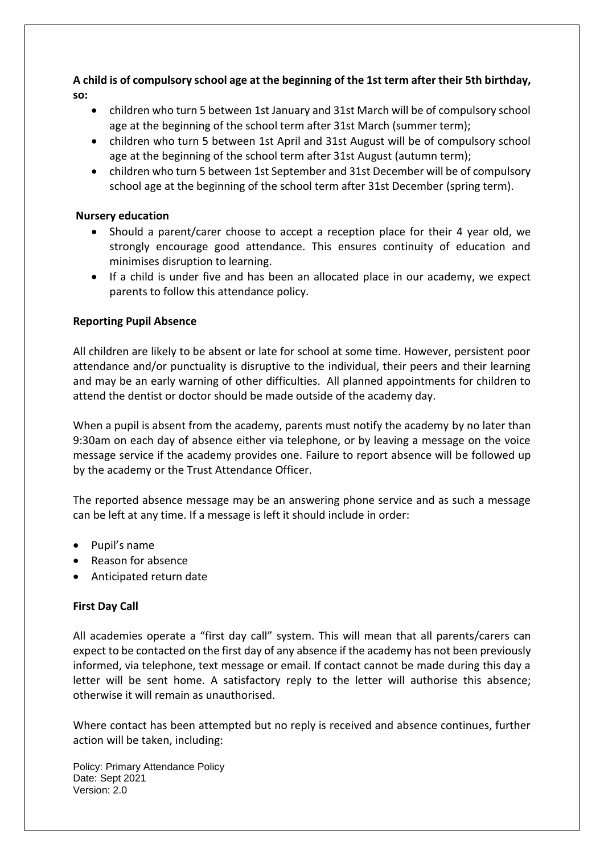**A child is of compulsory school age at the beginning of the 1st term after their 5th birthday, so:**

- children who turn 5 between 1st January and 31st March will be of compulsory school age at the beginning of the school term after 31st March (summer term);
- children who turn 5 between 1st April and 31st August will be of compulsory school age at the beginning of the school term after 31st August (autumn term);
- children who turn 5 between 1st September and 31st December will be of compulsory school age at the beginning of the school term after 31st December (spring term).

# **Nursery education**

- Should a parent/carer choose to accept a reception place for their 4 year old, we strongly encourage good attendance. This ensures continuity of education and minimises disruption to learning.
- If a child is under five and has been an allocated place in our academy, we expect parents to follow this attendance policy.

## **Reporting Pupil Absence**

All children are likely to be absent or late for school at some time. However, persistent poor attendance and/or punctuality is disruptive to the individual, their peers and their learning and may be an early warning of other difficulties. All planned appointments for children to attend the dentist or doctor should be made outside of the academy day.

When a pupil is absent from the academy, parents must notify the academy by no later than 9:30am on each day of absence either via telephone, or by leaving a message on the voice message service if the academy provides one. Failure to report absence will be followed up by the academy or the Trust Attendance Officer.

The reported absence message may be an answering phone service and as such a message can be left at any time. If a message is left it should include in order:

- Pupil's name
- Reason for absence
- Anticipated return date

# **First Day Call**

All academies operate a "first day call" system. This will mean that all parents/carers can expect to be contacted on the first day of any absence if the academy has not been previously informed, via telephone, text message or email. If contact cannot be made during this day a letter will be sent home. A satisfactory reply to the letter will authorise this absence; otherwise it will remain as unauthorised.

Where contact has been attempted but no reply is received and absence continues, further action will be taken, including: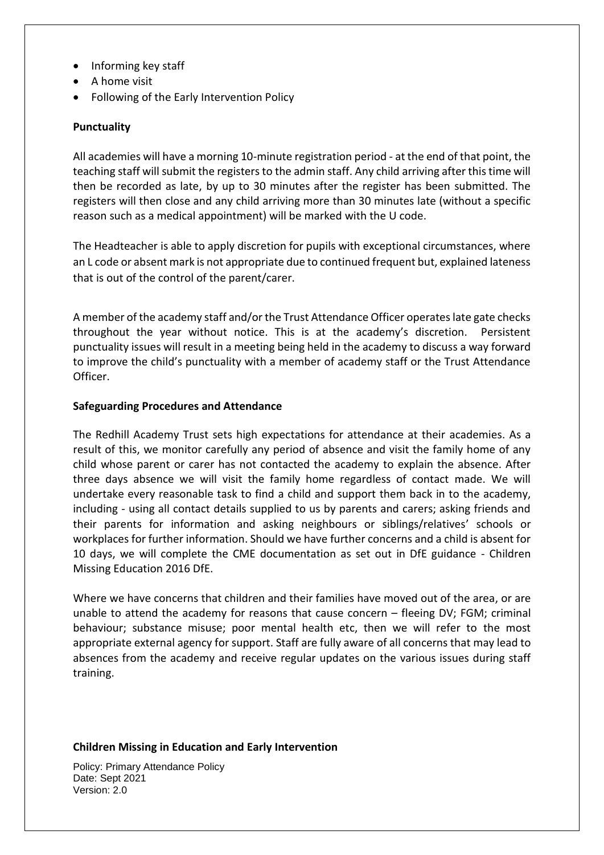- Informing key staff
- A home visit
- Following of the Early Intervention Policy

#### **Punctuality**

All academies will have a morning 10-minute registration period - at the end of that point, the teaching staff will submit the registers to the admin staff. Any child arriving after this time will then be recorded as late, by up to 30 minutes after the register has been submitted. The registers will then close and any child arriving more than 30 minutes late (without a specific reason such as a medical appointment) will be marked with the U code.

The Headteacher is able to apply discretion for pupils with exceptional circumstances, where an L code or absent mark is not appropriate due to continued frequent but, explained lateness that is out of the control of the parent/carer.

A member of the academy staff and/or the Trust Attendance Officer operates late gate checks throughout the year without notice. This is at the academy's discretion. Persistent punctuality issues will result in a meeting being held in the academy to discuss a way forward to improve the child's punctuality with a member of academy staff or the Trust Attendance Officer.

#### **Safeguarding Procedures and Attendance**

The Redhill Academy Trust sets high expectations for attendance at their academies. As a result of this, we monitor carefully any period of absence and visit the family home of any child whose parent or carer has not contacted the academy to explain the absence. After three days absence we will visit the family home regardless of contact made. We will undertake every reasonable task to find a child and support them back in to the academy, including - using all contact details supplied to us by parents and carers; asking friends and their parents for information and asking neighbours or siblings/relatives' schools or workplaces for further information. Should we have further concerns and a child is absent for 10 days, we will complete the CME documentation as set out in DfE guidance - Children Missing Education 2016 DfE.

Where we have concerns that children and their families have moved out of the area, or are unable to attend the academy for reasons that cause concern – fleeing DV; FGM; criminal behaviour; substance misuse; poor mental health etc, then we will refer to the most appropriate external agency for support. Staff are fully aware of all concerns that may lead to absences from the academy and receive regular updates on the various issues during staff training.

#### **Children Missing in Education and Early Intervention**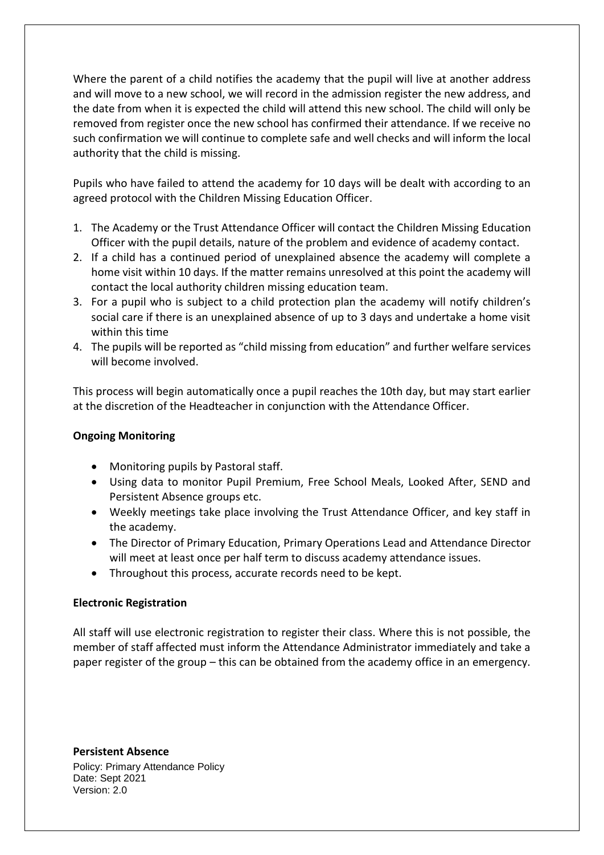Where the parent of a child notifies the academy that the pupil will live at another address and will move to a new school, we will record in the admission register the new address, and the date from when it is expected the child will attend this new school. The child will only be removed from register once the new school has confirmed their attendance. If we receive no such confirmation we will continue to complete safe and well checks and will inform the local authority that the child is missing.

Pupils who have failed to attend the academy for 10 days will be dealt with according to an agreed protocol with the Children Missing Education Officer.

- 1. The Academy or the Trust Attendance Officer will contact the Children Missing Education Officer with the pupil details, nature of the problem and evidence of academy contact.
- 2. If a child has a continued period of unexplained absence the academy will complete a home visit within 10 days. If the matter remains unresolved at this point the academy will contact the local authority children missing education team.
- 3. For a pupil who is subject to a child protection plan the academy will notify children's social care if there is an unexplained absence of up to 3 days and undertake a home visit within this time
- 4. The pupils will be reported as "child missing from education" and further welfare services will become involved.

This process will begin automatically once a pupil reaches the 10th day, but may start earlier at the discretion of the Headteacher in conjunction with the Attendance Officer.

# **Ongoing Monitoring**

- Monitoring pupils by Pastoral staff.
- Using data to monitor Pupil Premium, Free School Meals, Looked After, SEND and Persistent Absence groups etc.
- Weekly meetings take place involving the Trust Attendance Officer, and key staff in the academy.
- The Director of Primary Education, Primary Operations Lead and Attendance Director will meet at least once per half term to discuss academy attendance issues.
- Throughout this process, accurate records need to be kept.

# **Electronic Registration**

All staff will use electronic registration to register their class. Where this is not possible, the member of staff affected must inform the Attendance Administrator immediately and take a paper register of the group – this can be obtained from the academy office in an emergency.

Policy: Primary Attendance Policy Date: Sept 2021 Version: 2.0 **Persistent Absence**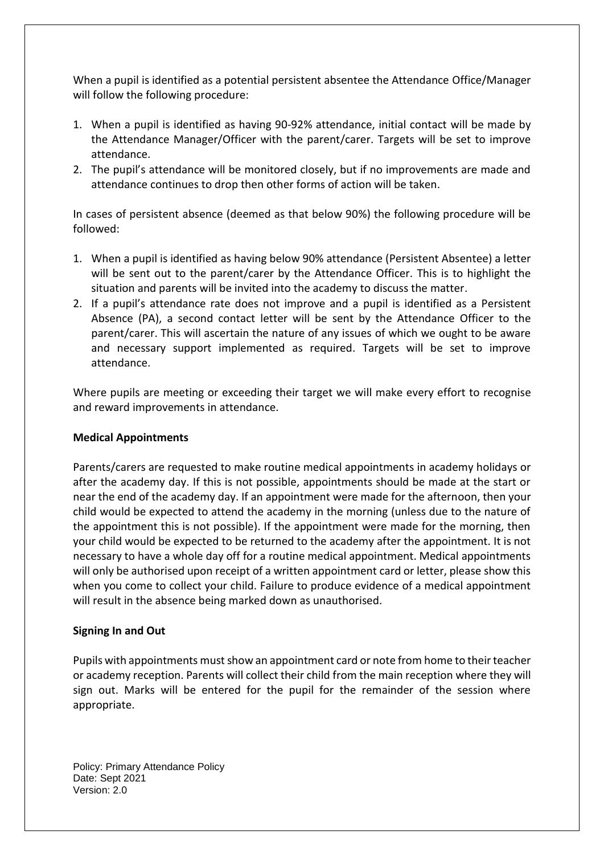When a pupil is identified as a potential persistent absentee the Attendance Office/Manager will follow the following procedure:

- 1. When a pupil is identified as having 90-92% attendance, initial contact will be made by the Attendance Manager/Officer with the parent/carer. Targets will be set to improve attendance.
- 2. The pupil's attendance will be monitored closely, but if no improvements are made and attendance continues to drop then other forms of action will be taken.

In cases of persistent absence (deemed as that below 90%) the following procedure will be followed:

- 1. When a pupil is identified as having below 90% attendance (Persistent Absentee) a letter will be sent out to the parent/carer by the Attendance Officer. This is to highlight the situation and parents will be invited into the academy to discuss the matter.
- 2. If a pupil's attendance rate does not improve and a pupil is identified as a Persistent Absence (PA), a second contact letter will be sent by the Attendance Officer to the parent/carer. This will ascertain the nature of any issues of which we ought to be aware and necessary support implemented as required. Targets will be set to improve attendance.

Where pupils are meeting or exceeding their target we will make every effort to recognise and reward improvements in attendance.

#### **Medical Appointments**

Parents/carers are requested to make routine medical appointments in academy holidays or after the academy day. If this is not possible, appointments should be made at the start or near the end of the academy day. If an appointment were made for the afternoon, then your child would be expected to attend the academy in the morning (unless due to the nature of the appointment this is not possible). If the appointment were made for the morning, then your child would be expected to be returned to the academy after the appointment. It is not necessary to have a whole day off for a routine medical appointment. Medical appointments will only be authorised upon receipt of a written appointment card or letter, please show this when you come to collect your child. Failure to produce evidence of a medical appointment will result in the absence being marked down as unauthorised.

# **Signing In and Out**

Pupils with appointments must show an appointment card or note from home to their teacher or academy reception. Parents will collect their child from the main reception where they will sign out. Marks will be entered for the pupil for the remainder of the session where appropriate.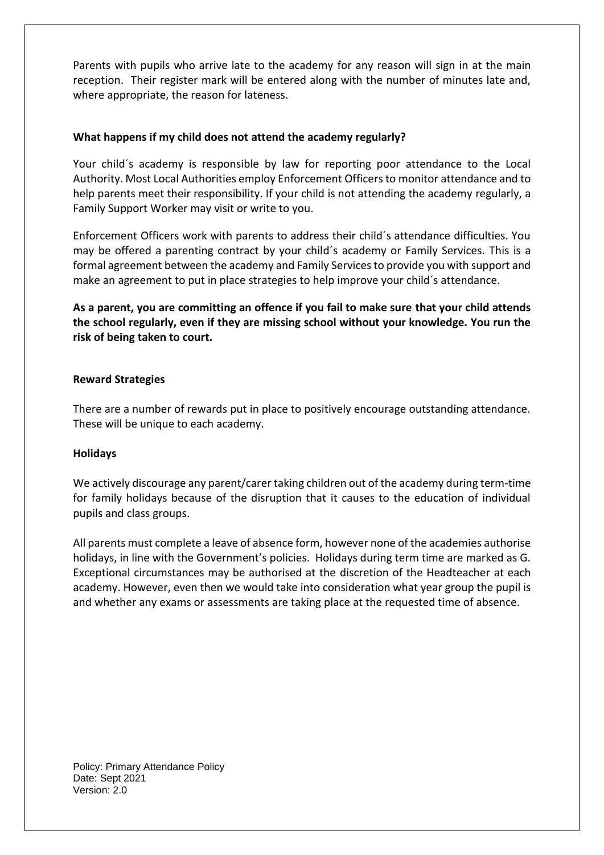Parents with pupils who arrive late to the academy for any reason will sign in at the main reception. Their register mark will be entered along with the number of minutes late and, where appropriate, the reason for lateness.

## **What happens if my child does not attend the academy regularly?**

Your child´s academy is responsible by law for reporting poor attendance to the Local Authority. Most Local Authorities employ Enforcement Officers to monitor attendance and to help parents meet their responsibility. If your child is not attending the academy regularly, a Family Support Worker may visit or write to you.

Enforcement Officers work with parents to address their child´s attendance difficulties. You may be offered a parenting contract by your child´s academy or Family Services. This is a formal agreement between the academy and Family Services to provide you with support and make an agreement to put in place strategies to help improve your child´s attendance.

**As a parent, you are committing an offence if you fail to make sure that your child attends the school regularly, even if they are missing school without your knowledge. You run the risk of being taken to court.**

## **Reward Strategies**

There are a number of rewards put in place to positively encourage outstanding attendance. These will be unique to each academy.

#### **Holidays**

We actively discourage any parent/carer taking children out of the academy during term-time for family holidays because of the disruption that it causes to the education of individual pupils and class groups.

All parents must complete a leave of absence form, however none of the academies authorise holidays, in line with the Government's policies. Holidays during term time are marked as G. Exceptional circumstances may be authorised at the discretion of the Headteacher at each academy. However, even then we would take into consideration what year group the pupil is and whether any exams or assessments are taking place at the requested time of absence.